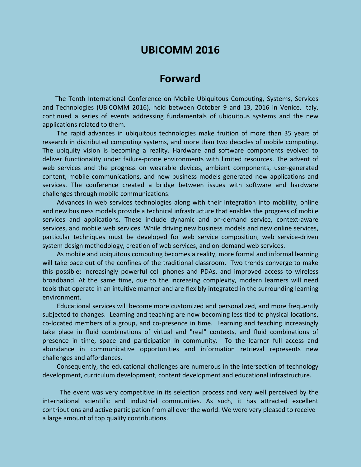# **UBICOMM 2016**

## **Forward**

The Tenth International Conference on Mobile Ubiquitous Computing, Systems, Services and Technologies (UBICOMM 2016), held between October 9 and 13, 2016 in Venice, Italy, continued a series of events addressing fundamentals of ubiquitous systems and the new applications related to them.

The rapid advances in ubiquitous technologies make fruition of more than 35 years of research in distributed computing systems, and more than two decades of mobile computing. The ubiquity vision is becoming a reality. Hardware and software components evolved to deliver functionality under failure-prone environments with limited resources. The advent of web services and the progress on wearable devices, ambient components, user-generated content, mobile communications, and new business models generated new applications and services. The conference created a bridge between issues with software and hardware challenges through mobile communications.

Advances in web services technologies along with their integration into mobility, online and new business models provide a technical infrastructure that enables the progress of mobile services and applications. These include dynamic and on-demand service, context-aware services, and mobile web services. While driving new business models and new online services, particular techniques must be developed for web service composition, web service-driven system design methodology, creation of web services, and on-demand web services.

As mobile and ubiquitous computing becomes a reality, more formal and informal learning will take pace out of the confines of the traditional classroom. Two trends converge to make this possible; increasingly powerful cell phones and PDAs, and improved access to wireless broadband. At the same time, due to the increasing complexity, modern learners will need tools that operate in an intuitive manner and are flexibly integrated in the surrounding learning environment.

Educational services will become more customized and personalized, and more frequently subjected to changes. Learning and teaching are now becoming less tied to physical locations, co-located members of a group, and co-presence in time. Learning and teaching increasingly take place in fluid combinations of virtual and "real" contexts, and fluid combinations of presence in time, space and participation in community. To the learner full access and abundance in communicative opportunities and information retrieval represents new challenges and affordances.

Consequently, the educational challenges are numerous in the intersection of technology development, curriculum development, content development and educational infrastructure.

The event was very competitive in its selection process and very well perceived by the international scientific and industrial communities. As such, it has attracted excellent contributions and active participation from all over the world. We were very pleased to receive a large amount of top quality contributions.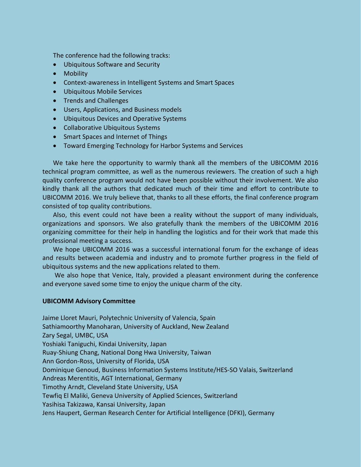The conference had the following tracks:

- Ubiquitous Software and Security
- Mobility
- Context-awareness in Intelligent Systems and Smart Spaces
- Ubiquitous Mobile Services
- Trends and Challenges
- Users, Applications, and Business models
- Ubiquitous Devices and Operative Systems
- Collaborative Ubiquitous Systems
- Smart Spaces and Internet of Things
- Toward Emerging Technology for Harbor Systems and Services

We take here the opportunity to warmly thank all the members of the UBICOMM 2016 technical program committee, as well as the numerous reviewers. The creation of such a high quality conference program would not have been possible without their involvement. We also kindly thank all the authors that dedicated much of their time and effort to contribute to UBICOMM 2016. We truly believe that, thanks to all these efforts, the final conference program consisted of top quality contributions.

Also, this event could not have been a reality without the support of many individuals, organizations and sponsors. We also gratefully thank the members of the UBICOMM 2016 organizing committee for their help in handling the logistics and for their work that made this professional meeting a success.

We hope UBICOMM 2016 was a successful international forum for the exchange of ideas and results between academia and industry and to promote further progress in the field of ubiquitous systems and the new applications related to them.

We also hope that Venice, Italy, provided a pleasant environment during the conference and everyone saved some time to enjoy the unique charm of the city.

#### **UBICOMM Advisory Committee**

Jaime Lloret Mauri, Polytechnic University of Valencia, Spain Sathiamoorthy Manoharan, University of Auckland, New Zealand Zary Segal, UMBC, USA Yoshiaki Taniguchi, Kindai University, Japan Ruay-Shiung Chang, National Dong Hwa University, Taiwan Ann Gordon-Ross, University of Florida, USA Dominique Genoud, Business Information Systems Institute/HES-SO Valais, Switzerland Andreas Merentitis, AGT International, Germany Timothy Arndt, Cleveland State University, USA Tewfiq El Maliki, Geneva University of Applied Sciences, Switzerland Yasihisa Takizawa, Kansai University, Japan Jens Haupert, German Research Center for Artificial Intelligence (DFKI), Germany